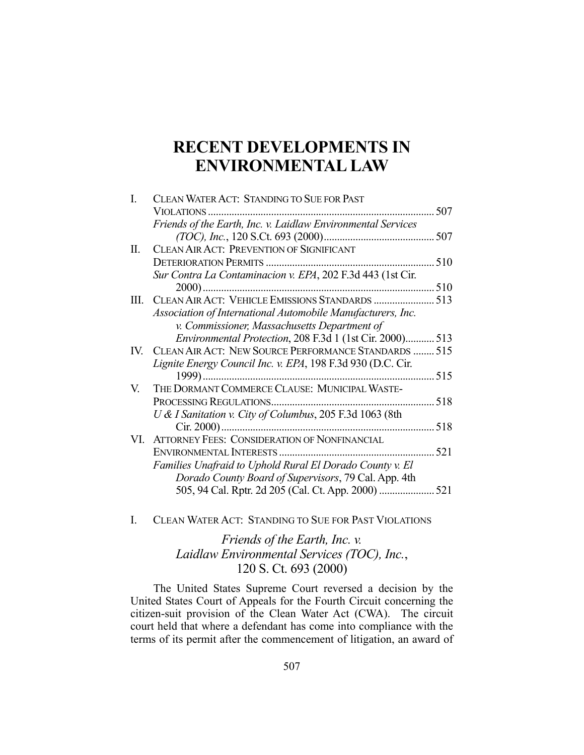# **RECENT DEVELOPMENTS IN ENVIRONMENTAL LAW**

| L   | CLEAN WATER ACT: STANDING TO SUE FOR PAST                    |     |
|-----|--------------------------------------------------------------|-----|
|     | VIOLATIONS                                                   | 507 |
|     | Friends of the Earth, Inc. v. Laidlaw Environmental Services |     |
|     |                                                              |     |
| II. | <b>CLEAN AIR ACT: PREVENTION OF SIGNIFICANT</b>              |     |
|     |                                                              | 510 |
|     | Sur Contra La Contaminacion v. EPA, 202 F.3d 443 (1st Cir.   |     |
|     | $2000$ )                                                     | 510 |
| Ш.  | CLEAN AIR ACT: VEHICLE EMISSIONS STANDARDS  513              |     |
|     | Association of International Automobile Manufacturers, Inc.  |     |
|     | v. Commissioner, Massachusetts Department of                 |     |
|     | Environmental Protection, 208 F.3d 1 (1st Cir. 2000)         | 513 |
| IV. | CLEAN AIR ACT: NEW SOURCE PERFORMANCE STANDARDS  515         |     |
|     | Lignite Energy Council Inc. v. EPA, 198 F.3d 930 (D.C. Cir.  |     |
|     | 1999)                                                        | 515 |
| V.  | THE DORMANT COMMERCE CLAUSE: MUNICIPAL WASTE-                |     |
|     | PROCESSING REGULATIONS.                                      | 518 |
|     | U & I Sanitation v. City of Columbus, 205 F.3d 1063 (8th     |     |
|     |                                                              | 518 |
|     | VI. ATTORNEY FEES: CONSIDERATION OF NONFINANCIAL             |     |
|     |                                                              | 521 |
|     | Families Unafraid to Uphold Rural El Dorado County v. El     |     |
|     | Dorado County Board of Supervisors, 79 Cal. App. 4th         |     |
|     | 505, 94 Cal. Rptr. 2d 205 (Cal. Ct. App. 2000)               | 521 |
|     |                                                              |     |

I. CLEAN WATER ACT: STANDING TO SUE FOR PAST VIOLATIONS

# *Friends of the Earth, Inc. v. Laidlaw Environmental Services (TOC), Inc.*, 120 S. Ct. 693 (2000)

 The United States Supreme Court reversed a decision by the United States Court of Appeals for the Fourth Circuit concerning the citizen-suit provision of the Clean Water Act (CWA). The circuit court held that where a defendant has come into compliance with the terms of its permit after the commencement of litigation, an award of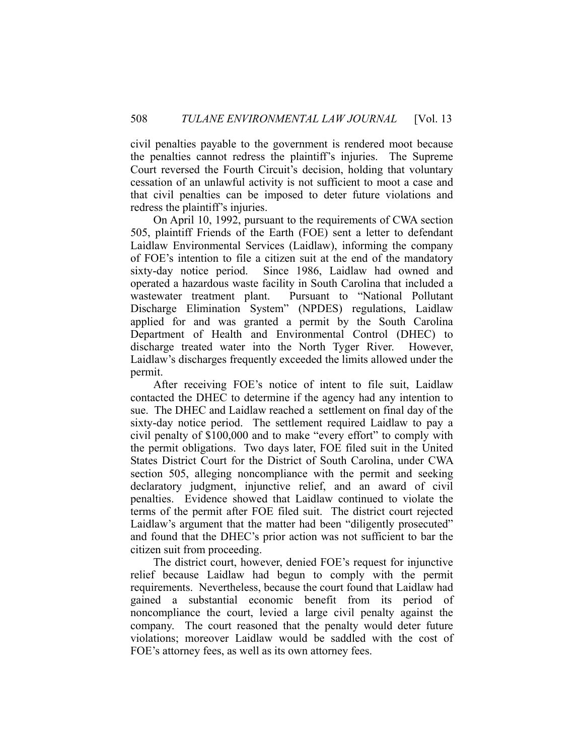civil penalties payable to the government is rendered moot because the penalties cannot redress the plaintiff's injuries. The Supreme Court reversed the Fourth Circuit's decision, holding that voluntary cessation of an unlawful activity is not sufficient to moot a case and that civil penalties can be imposed to deter future violations and redress the plaintiff's injuries.

 On April 10, 1992, pursuant to the requirements of CWA section 505, plaintiff Friends of the Earth (FOE) sent a letter to defendant Laidlaw Environmental Services (Laidlaw), informing the company of FOE's intention to file a citizen suit at the end of the mandatory sixty-day notice period. Since 1986, Laidlaw had owned and operated a hazardous waste facility in South Carolina that included a wastewater treatment plant. Pursuant to "National Pollutant Discharge Elimination System" (NPDES) regulations, Laidlaw applied for and was granted a permit by the South Carolina Department of Health and Environmental Control (DHEC) to discharge treated water into the North Tyger River. However, Laidlaw's discharges frequently exceeded the limits allowed under the permit.

 After receiving FOE's notice of intent to file suit, Laidlaw contacted the DHEC to determine if the agency had any intention to sue. The DHEC and Laidlaw reached a settlement on final day of the sixty-day notice period. The settlement required Laidlaw to pay a civil penalty of \$100,000 and to make "every effort" to comply with the permit obligations. Two days later, FOE filed suit in the United States District Court for the District of South Carolina, under CWA section 505, alleging noncompliance with the permit and seeking declaratory judgment, injunctive relief, and an award of civil penalties. Evidence showed that Laidlaw continued to violate the terms of the permit after FOE filed suit. The district court rejected Laidlaw's argument that the matter had been "diligently prosecuted" and found that the DHEC's prior action was not sufficient to bar the citizen suit from proceeding.

 The district court, however, denied FOE's request for injunctive relief because Laidlaw had begun to comply with the permit requirements. Nevertheless, because the court found that Laidlaw had gained a substantial economic benefit from its period of noncompliance the court, levied a large civil penalty against the company. The court reasoned that the penalty would deter future violations; moreover Laidlaw would be saddled with the cost of FOE's attorney fees, as well as its own attorney fees.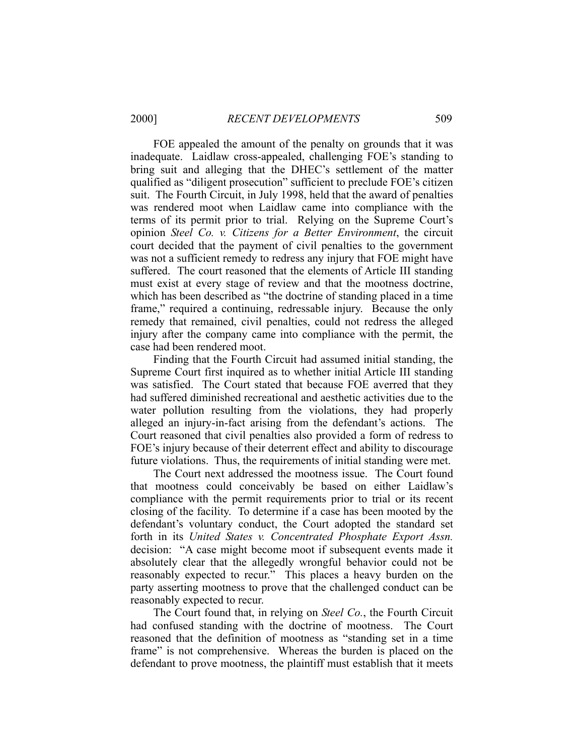FOE appealed the amount of the penalty on grounds that it was inadequate. Laidlaw cross-appealed, challenging FOE's standing to bring suit and alleging that the DHEC's settlement of the matter qualified as "diligent prosecution" sufficient to preclude FOE's citizen suit. The Fourth Circuit, in July 1998, held that the award of penalties was rendered moot when Laidlaw came into compliance with the terms of its permit prior to trial. Relying on the Supreme Court's opinion *Steel Co. v. Citizens for a Better Environment*, the circuit court decided that the payment of civil penalties to the government was not a sufficient remedy to redress any injury that FOE might have suffered. The court reasoned that the elements of Article III standing must exist at every stage of review and that the mootness doctrine, which has been described as "the doctrine of standing placed in a time frame," required a continuing, redressable injury. Because the only remedy that remained, civil penalties, could not redress the alleged injury after the company came into compliance with the permit, the case had been rendered moot.

 Finding that the Fourth Circuit had assumed initial standing, the Supreme Court first inquired as to whether initial Article III standing was satisfied. The Court stated that because FOE averred that they had suffered diminished recreational and aesthetic activities due to the water pollution resulting from the violations, they had properly alleged an injury-in-fact arising from the defendant's actions. The Court reasoned that civil penalties also provided a form of redress to FOE's injury because of their deterrent effect and ability to discourage future violations. Thus, the requirements of initial standing were met.

 The Court next addressed the mootness issue. The Court found that mootness could conceivably be based on either Laidlaw's compliance with the permit requirements prior to trial or its recent closing of the facility. To determine if a case has been mooted by the defendant's voluntary conduct, the Court adopted the standard set forth in its *United States v. Concentrated Phosphate Export Assn.* decision: "A case might become moot if subsequent events made it absolutely clear that the allegedly wrongful behavior could not be reasonably expected to recur." This places a heavy burden on the party asserting mootness to prove that the challenged conduct can be reasonably expected to recur.

 The Court found that, in relying on *Steel Co.*, the Fourth Circuit had confused standing with the doctrine of mootness. The Court reasoned that the definition of mootness as "standing set in a time frame" is not comprehensive. Whereas the burden is placed on the defendant to prove mootness, the plaintiff must establish that it meets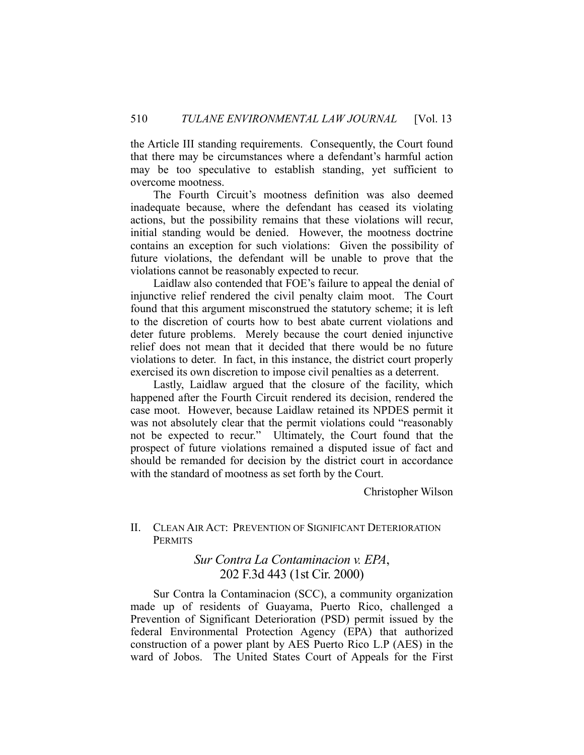the Article III standing requirements. Consequently, the Court found that there may be circumstances where a defendant's harmful action may be too speculative to establish standing, yet sufficient to overcome mootness.

 The Fourth Circuit's mootness definition was also deemed inadequate because, where the defendant has ceased its violating actions, but the possibility remains that these violations will recur, initial standing would be denied. However, the mootness doctrine contains an exception for such violations: Given the possibility of future violations, the defendant will be unable to prove that the violations cannot be reasonably expected to recur.

 Laidlaw also contended that FOE's failure to appeal the denial of injunctive relief rendered the civil penalty claim moot. The Court found that this argument misconstrued the statutory scheme; it is left to the discretion of courts how to best abate current violations and deter future problems. Merely because the court denied injunctive relief does not mean that it decided that there would be no future violations to deter. In fact, in this instance, the district court properly exercised its own discretion to impose civil penalties as a deterrent.

 Lastly, Laidlaw argued that the closure of the facility, which happened after the Fourth Circuit rendered its decision, rendered the case moot. However, because Laidlaw retained its NPDES permit it was not absolutely clear that the permit violations could "reasonably not be expected to recur." Ultimately, the Court found that the prospect of future violations remained a disputed issue of fact and should be remanded for decision by the district court in accordance with the standard of mootness as set forth by the Court.

Christopher Wilson

### II. CLEAN AIR ACT: PREVENTION OF SIGNIFICANT DETERIORATION **PERMITS**

## *Sur Contra La Contaminacion v. EPA*, 202 F.3d 443 (1st Cir. 2000)

 Sur Contra la Contaminacion (SCC), a community organization made up of residents of Guayama, Puerto Rico, challenged a Prevention of Significant Deterioration (PSD) permit issued by the federal Environmental Protection Agency (EPA) that authorized construction of a power plant by AES Puerto Rico L.P (AES) in the ward of Jobos. The United States Court of Appeals for the First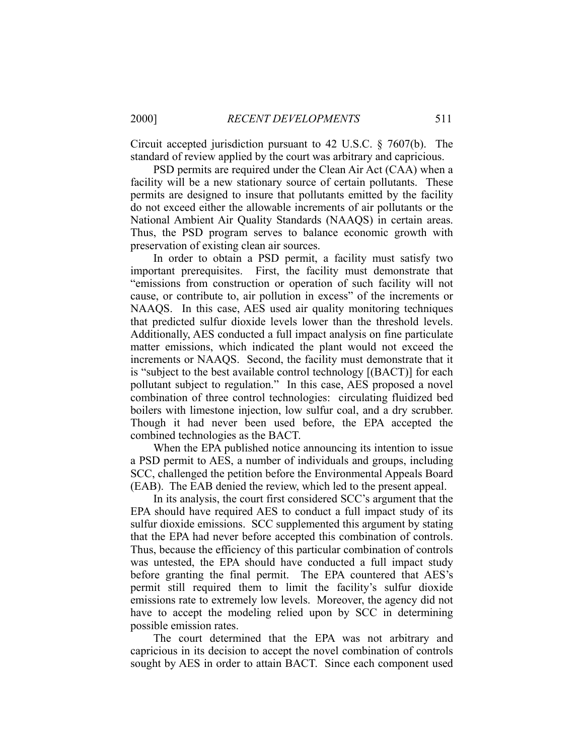Circuit accepted jurisdiction pursuant to 42 U.S.C. § 7607(b). The standard of review applied by the court was arbitrary and capricious.

 PSD permits are required under the Clean Air Act (CAA) when a facility will be a new stationary source of certain pollutants. These permits are designed to insure that pollutants emitted by the facility do not exceed either the allowable increments of air pollutants or the National Ambient Air Quality Standards (NAAQS) in certain areas. Thus, the PSD program serves to balance economic growth with preservation of existing clean air sources.

 In order to obtain a PSD permit, a facility must satisfy two important prerequisites. First, the facility must demonstrate that "emissions from construction or operation of such facility will not cause, or contribute to, air pollution in excess" of the increments or NAAQS. In this case, AES used air quality monitoring techniques that predicted sulfur dioxide levels lower than the threshold levels. Additionally, AES conducted a full impact analysis on fine particulate matter emissions, which indicated the plant would not exceed the increments or NAAQS. Second, the facility must demonstrate that it is "subject to the best available control technology [(BACT)] for each pollutant subject to regulation." In this case, AES proposed a novel combination of three control technologies: circulating fluidized bed boilers with limestone injection, low sulfur coal, and a dry scrubber. Though it had never been used before, the EPA accepted the combined technologies as the BACT.

 When the EPA published notice announcing its intention to issue a PSD permit to AES, a number of individuals and groups, including SCC, challenged the petition before the Environmental Appeals Board (EAB). The EAB denied the review, which led to the present appeal.

 In its analysis, the court first considered SCC's argument that the EPA should have required AES to conduct a full impact study of its sulfur dioxide emissions. SCC supplemented this argument by stating that the EPA had never before accepted this combination of controls. Thus, because the efficiency of this particular combination of controls was untested, the EPA should have conducted a full impact study before granting the final permit. The EPA countered that AES's permit still required them to limit the facility's sulfur dioxide emissions rate to extremely low levels. Moreover, the agency did not have to accept the modeling relied upon by SCC in determining possible emission rates.

 The court determined that the EPA was not arbitrary and capricious in its decision to accept the novel combination of controls sought by AES in order to attain BACT. Since each component used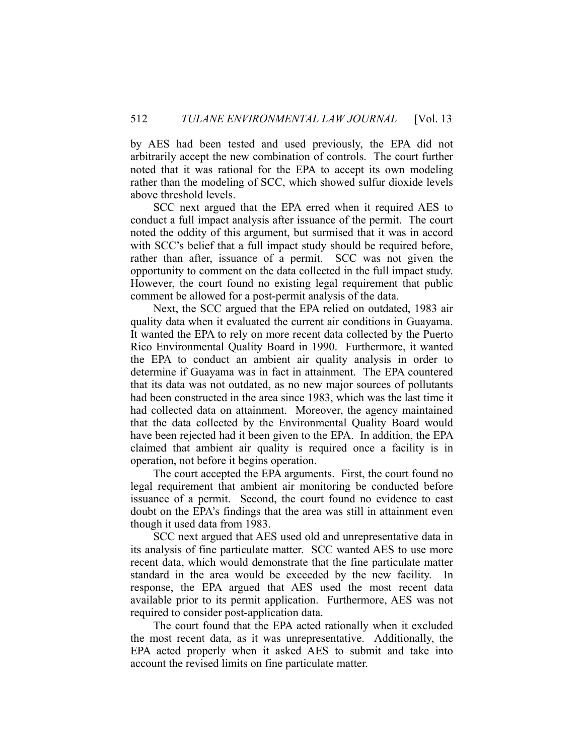by AES had been tested and used previously, the EPA did not arbitrarily accept the new combination of controls. The court further noted that it was rational for the EPA to accept its own modeling rather than the modeling of SCC, which showed sulfur dioxide levels above threshold levels.

 SCC next argued that the EPA erred when it required AES to conduct a full impact analysis after issuance of the permit. The court noted the oddity of this argument, but surmised that it was in accord with SCC's belief that a full impact study should be required before, rather than after, issuance of a permit. SCC was not given the opportunity to comment on the data collected in the full impact study. However, the court found no existing legal requirement that public comment be allowed for a post-permit analysis of the data.

 Next, the SCC argued that the EPA relied on outdated, 1983 air quality data when it evaluated the current air conditions in Guayama. It wanted the EPA to rely on more recent data collected by the Puerto Rico Environmental Quality Board in 1990. Furthermore, it wanted the EPA to conduct an ambient air quality analysis in order to determine if Guayama was in fact in attainment. The EPA countered that its data was not outdated, as no new major sources of pollutants had been constructed in the area since 1983, which was the last time it had collected data on attainment. Moreover, the agency maintained that the data collected by the Environmental Quality Board would have been rejected had it been given to the EPA. In addition, the EPA claimed that ambient air quality is required once a facility is in operation, not before it begins operation.

 The court accepted the EPA arguments. First, the court found no legal requirement that ambient air monitoring be conducted before issuance of a permit. Second, the court found no evidence to cast doubt on the EPA's findings that the area was still in attainment even though it used data from 1983.

 SCC next argued that AES used old and unrepresentative data in its analysis of fine particulate matter. SCC wanted AES to use more recent data, which would demonstrate that the fine particulate matter standard in the area would be exceeded by the new facility. In response, the EPA argued that AES used the most recent data available prior to its permit application. Furthermore, AES was not required to consider post-application data.

 The court found that the EPA acted rationally when it excluded the most recent data, as it was unrepresentative. Additionally, the EPA acted properly when it asked AES to submit and take into account the revised limits on fine particulate matter.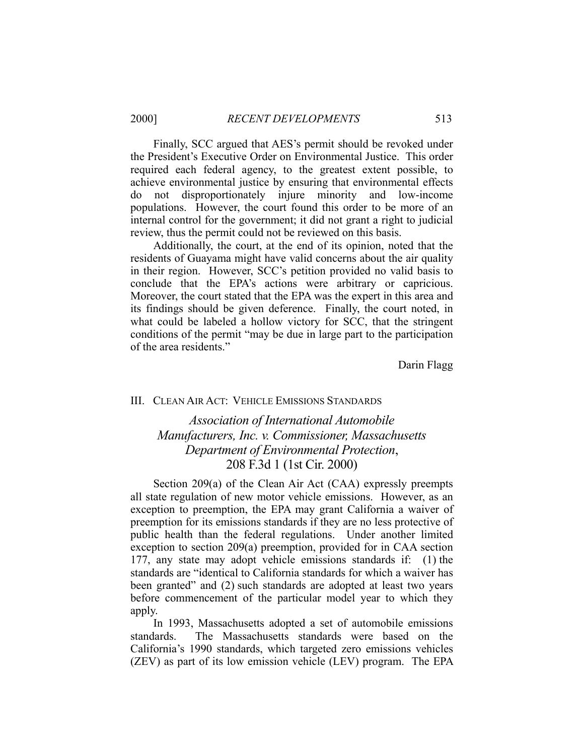Finally, SCC argued that AES's permit should be revoked under the President's Executive Order on Environmental Justice. This order required each federal agency, to the greatest extent possible, to achieve environmental justice by ensuring that environmental effects do not disproportionately injure minority and low-income populations. However, the court found this order to be more of an internal control for the government; it did not grant a right to judicial review, thus the permit could not be reviewed on this basis.

 Additionally, the court, at the end of its opinion, noted that the residents of Guayama might have valid concerns about the air quality in their region. However, SCC's petition provided no valid basis to conclude that the EPA's actions were arbitrary or capricious. Moreover, the court stated that the EPA was the expert in this area and its findings should be given deference. Finally, the court noted, in what could be labeled a hollow victory for SCC, that the stringent conditions of the permit "may be due in large part to the participation of the area residents."

Darin Flagg

#### III. CLEAN AIR ACT: VEHICLE EMISSIONS STANDARDS

# *Association of International Automobile Manufacturers, Inc. v. Commissioner, Massachusetts Department of Environmental Protection*, 208 F.3d 1 (1st Cir. 2000)

 Section 209(a) of the Clean Air Act (CAA) expressly preempts all state regulation of new motor vehicle emissions. However, as an exception to preemption, the EPA may grant California a waiver of preemption for its emissions standards if they are no less protective of public health than the federal regulations. Under another limited exception to section 209(a) preemption, provided for in CAA section 177, any state may adopt vehicle emissions standards if: (1) the standards are "identical to California standards for which a waiver has been granted" and (2) such standards are adopted at least two years before commencement of the particular model year to which they apply.

 In 1993, Massachusetts adopted a set of automobile emissions standards. The Massachusetts standards were based on the California's 1990 standards, which targeted zero emissions vehicles (ZEV) as part of its low emission vehicle (LEV) program. The EPA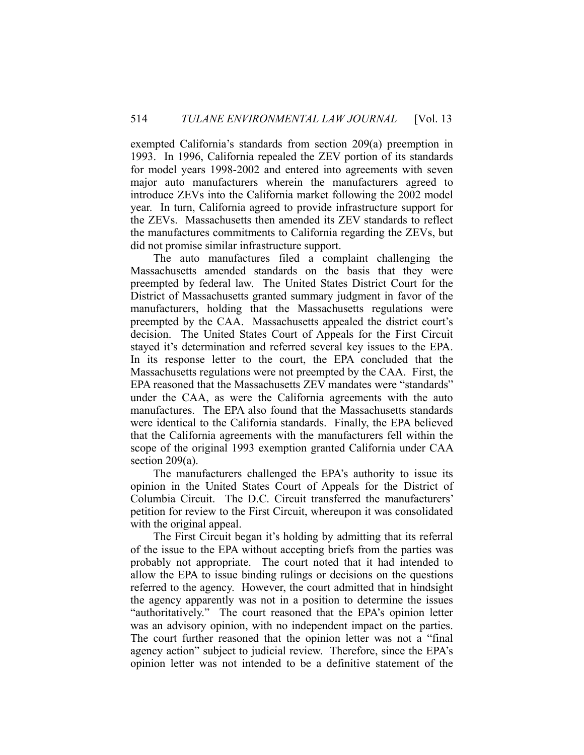exempted California's standards from section 209(a) preemption in 1993. In 1996, California repealed the ZEV portion of its standards for model years 1998-2002 and entered into agreements with seven major auto manufacturers wherein the manufacturers agreed to introduce ZEVs into the California market following the 2002 model year. In turn, California agreed to provide infrastructure support for the ZEVs. Massachusetts then amended its ZEV standards to reflect the manufactures commitments to California regarding the ZEVs, but did not promise similar infrastructure support.

 The auto manufactures filed a complaint challenging the Massachusetts amended standards on the basis that they were preempted by federal law. The United States District Court for the District of Massachusetts granted summary judgment in favor of the manufacturers, holding that the Massachusetts regulations were preempted by the CAA. Massachusetts appealed the district court's decision. The United States Court of Appeals for the First Circuit stayed it's determination and referred several key issues to the EPA. In its response letter to the court, the EPA concluded that the Massachusetts regulations were not preempted by the CAA. First, the EPA reasoned that the Massachusetts ZEV mandates were "standards" under the CAA, as were the California agreements with the auto manufactures. The EPA also found that the Massachusetts standards were identical to the California standards. Finally, the EPA believed that the California agreements with the manufacturers fell within the scope of the original 1993 exemption granted California under CAA section 209(a).

 The manufacturers challenged the EPA's authority to issue its opinion in the United States Court of Appeals for the District of Columbia Circuit. The D.C. Circuit transferred the manufacturers' petition for review to the First Circuit, whereupon it was consolidated with the original appeal.

 The First Circuit began it's holding by admitting that its referral of the issue to the EPA without accepting briefs from the parties was probably not appropriate. The court noted that it had intended to allow the EPA to issue binding rulings or decisions on the questions referred to the agency. However, the court admitted that in hindsight the agency apparently was not in a position to determine the issues "authoritatively." The court reasoned that the EPA's opinion letter was an advisory opinion, with no independent impact on the parties. The court further reasoned that the opinion letter was not a "final agency action" subject to judicial review. Therefore, since the EPA's opinion letter was not intended to be a definitive statement of the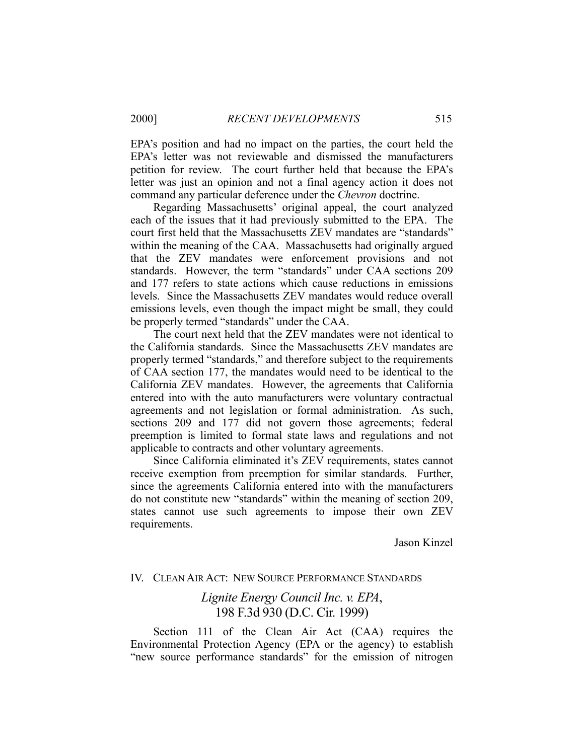EPA's position and had no impact on the parties, the court held the EPA's letter was not reviewable and dismissed the manufacturers petition for review. The court further held that because the EPA's letter was just an opinion and not a final agency action it does not command any particular deference under the *Chevron* doctrine.

 Regarding Massachusetts' original appeal, the court analyzed each of the issues that it had previously submitted to the EPA. The court first held that the Massachusetts ZEV mandates are "standards" within the meaning of the CAA. Massachusetts had originally argued that the ZEV mandates were enforcement provisions and not standards. However, the term "standards" under CAA sections 209 and 177 refers to state actions which cause reductions in emissions levels. Since the Massachusetts ZEV mandates would reduce overall emissions levels, even though the impact might be small, they could be properly termed "standards" under the CAA.

 The court next held that the ZEV mandates were not identical to the California standards. Since the Massachusetts ZEV mandates are properly termed "standards," and therefore subject to the requirements of CAA section 177, the mandates would need to be identical to the California ZEV mandates. However, the agreements that California entered into with the auto manufacturers were voluntary contractual agreements and not legislation or formal administration. As such, sections 209 and 177 did not govern those agreements; federal preemption is limited to formal state laws and regulations and not applicable to contracts and other voluntary agreements.

 Since California eliminated it's ZEV requirements, states cannot receive exemption from preemption for similar standards. Further, since the agreements California entered into with the manufacturers do not constitute new "standards" within the meaning of section 209, states cannot use such agreements to impose their own ZEV requirements.

Jason Kinzel

#### IV. CLEAN AIR ACT: NEW SOURCE PERFORMANCE STANDARDS

## *Lignite Energy Council Inc. v. EPA*, 198 F.3d 930 (D.C. Cir. 1999)

 Section 111 of the Clean Air Act (CAA) requires the Environmental Protection Agency (EPA or the agency) to establish "new source performance standards" for the emission of nitrogen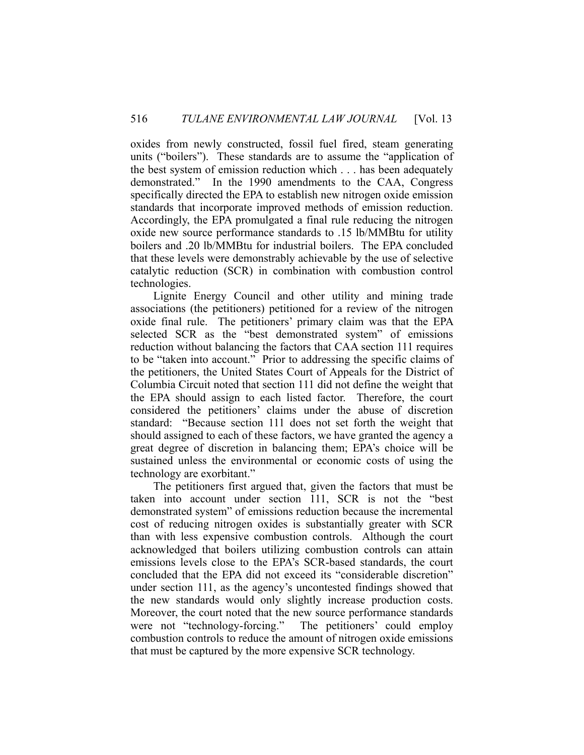oxides from newly constructed, fossil fuel fired, steam generating units ("boilers"). These standards are to assume the "application of the best system of emission reduction which . . . has been adequately demonstrated." In the 1990 amendments to the CAA, Congress specifically directed the EPA to establish new nitrogen oxide emission standards that incorporate improved methods of emission reduction. Accordingly, the EPA promulgated a final rule reducing the nitrogen oxide new source performance standards to .15 lb/MMBtu for utility boilers and .20 lb/MMBtu for industrial boilers. The EPA concluded that these levels were demonstrably achievable by the use of selective catalytic reduction (SCR) in combination with combustion control technologies.

 Lignite Energy Council and other utility and mining trade associations (the petitioners) petitioned for a review of the nitrogen oxide final rule. The petitioners' primary claim was that the EPA selected SCR as the "best demonstrated system" of emissions reduction without balancing the factors that CAA section 111 requires to be "taken into account." Prior to addressing the specific claims of the petitioners, the United States Court of Appeals for the District of Columbia Circuit noted that section 111 did not define the weight that the EPA should assign to each listed factor. Therefore, the court considered the petitioners' claims under the abuse of discretion standard: "Because section 111 does not set forth the weight that should assigned to each of these factors, we have granted the agency a great degree of discretion in balancing them; EPA's choice will be sustained unless the environmental or economic costs of using the technology are exorbitant."

 The petitioners first argued that, given the factors that must be taken into account under section 111, SCR is not the "best demonstrated system" of emissions reduction because the incremental cost of reducing nitrogen oxides is substantially greater with SCR than with less expensive combustion controls. Although the court acknowledged that boilers utilizing combustion controls can attain emissions levels close to the EPA's SCR-based standards, the court concluded that the EPA did not exceed its "considerable discretion" under section 111, as the agency's uncontested findings showed that the new standards would only slightly increase production costs. Moreover, the court noted that the new source performance standards were not "technology-forcing." The petitioners' could employ combustion controls to reduce the amount of nitrogen oxide emissions that must be captured by the more expensive SCR technology.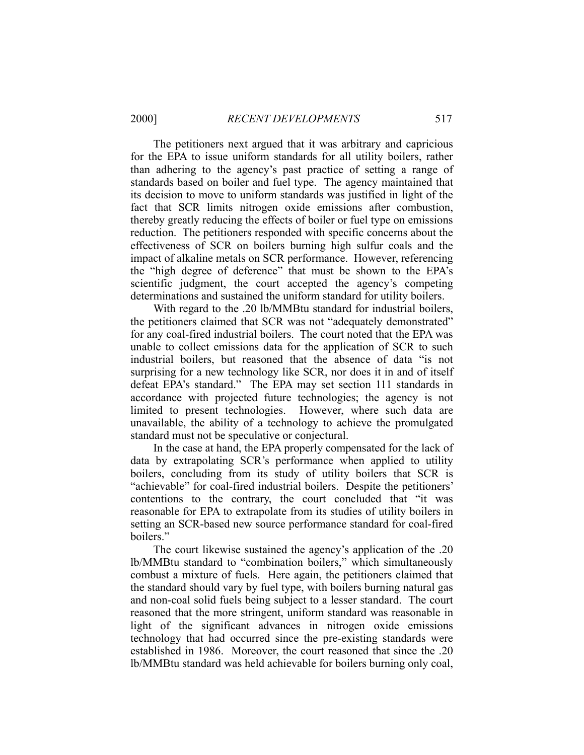The petitioners next argued that it was arbitrary and capricious for the EPA to issue uniform standards for all utility boilers, rather than adhering to the agency's past practice of setting a range of standards based on boiler and fuel type. The agency maintained that its decision to move to uniform standards was justified in light of the fact that SCR limits nitrogen oxide emissions after combustion, thereby greatly reducing the effects of boiler or fuel type on emissions reduction. The petitioners responded with specific concerns about the effectiveness of SCR on boilers burning high sulfur coals and the impact of alkaline metals on SCR performance. However, referencing the "high degree of deference" that must be shown to the EPA's scientific judgment, the court accepted the agency's competing determinations and sustained the uniform standard for utility boilers.

With regard to the .20 lb/MMBtu standard for industrial boilers, the petitioners claimed that SCR was not "adequately demonstrated" for any coal-fired industrial boilers. The court noted that the EPA was unable to collect emissions data for the application of SCR to such industrial boilers, but reasoned that the absence of data "is not surprising for a new technology like SCR, nor does it in and of itself defeat EPA's standard." The EPA may set section 111 standards in accordance with projected future technologies; the agency is not limited to present technologies. However, where such data are unavailable, the ability of a technology to achieve the promulgated standard must not be speculative or conjectural.

 In the case at hand, the EPA properly compensated for the lack of data by extrapolating SCR's performance when applied to utility boilers, concluding from its study of utility boilers that SCR is "achievable" for coal-fired industrial boilers. Despite the petitioners' contentions to the contrary, the court concluded that "it was reasonable for EPA to extrapolate from its studies of utility boilers in setting an SCR-based new source performance standard for coal-fired boilers."

 The court likewise sustained the agency's application of the .20 lb/MMBtu standard to "combination boilers," which simultaneously combust a mixture of fuels. Here again, the petitioners claimed that the standard should vary by fuel type, with boilers burning natural gas and non-coal solid fuels being subject to a lesser standard. The court reasoned that the more stringent, uniform standard was reasonable in light of the significant advances in nitrogen oxide emissions technology that had occurred since the pre-existing standards were established in 1986. Moreover, the court reasoned that since the .20 lb/MMBtu standard was held achievable for boilers burning only coal,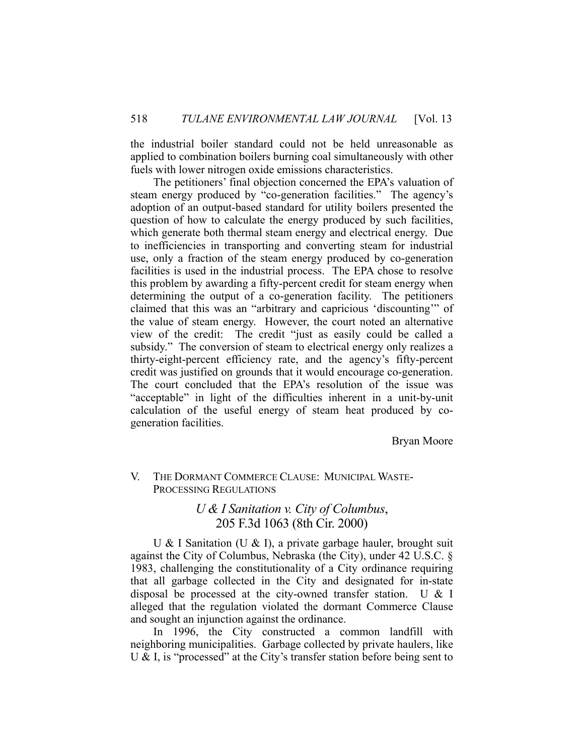the industrial boiler standard could not be held unreasonable as applied to combination boilers burning coal simultaneously with other fuels with lower nitrogen oxide emissions characteristics.

 The petitioners' final objection concerned the EPA's valuation of steam energy produced by "co-generation facilities." The agency's adoption of an output-based standard for utility boilers presented the question of how to calculate the energy produced by such facilities, which generate both thermal steam energy and electrical energy. Due to inefficiencies in transporting and converting steam for industrial use, only a fraction of the steam energy produced by co-generation facilities is used in the industrial process. The EPA chose to resolve this problem by awarding a fifty-percent credit for steam energy when determining the output of a co-generation facility. The petitioners claimed that this was an "arbitrary and capricious 'discounting'" of the value of steam energy. However, the court noted an alternative view of the credit: The credit "just as easily could be called a subsidy." The conversion of steam to electrical energy only realizes a thirty-eight-percent efficiency rate, and the agency's fifty-percent credit was justified on grounds that it would encourage co-generation. The court concluded that the EPA's resolution of the issue was "acceptable" in light of the difficulties inherent in a unit-by-unit calculation of the useful energy of steam heat produced by cogeneration facilities.

Bryan Moore

## V. THE DORMANT COMMERCE CLAUSE: MUNICIPAL WASTE-PROCESSING REGULATIONS

## *U & I Sanitation v. City of Columbus*, 205 F.3d 1063 (8th Cir. 2000)

 U & I Sanitation (U & I), a private garbage hauler, brought suit against the City of Columbus, Nebraska (the City), under 42 U.S.C. § 1983, challenging the constitutionality of a City ordinance requiring that all garbage collected in the City and designated for in-state disposal be processed at the city-owned transfer station. U & I alleged that the regulation violated the dormant Commerce Clause and sought an injunction against the ordinance.

 In 1996, the City constructed a common landfill with neighboring municipalities. Garbage collected by private haulers, like U & I, is "processed" at the City's transfer station before being sent to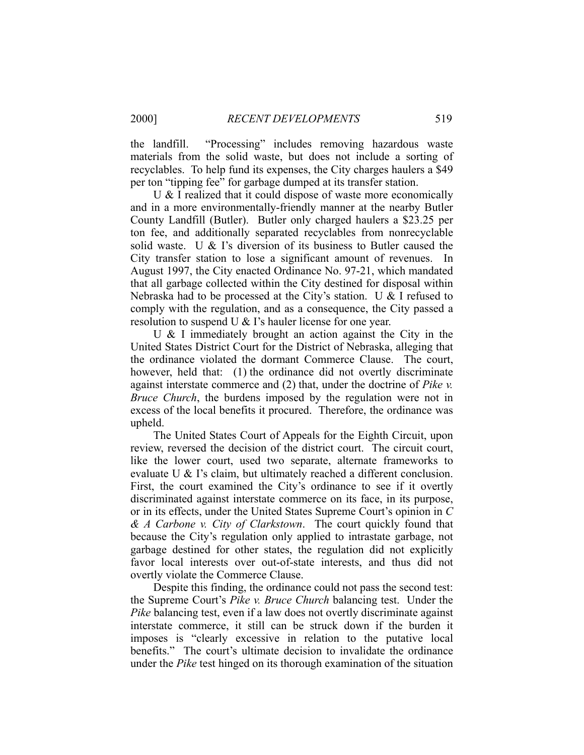the landfill. "Processing" includes removing hazardous waste materials from the solid waste, but does not include a sorting of recyclables. To help fund its expenses, the City charges haulers a \$49 per ton "tipping fee" for garbage dumped at its transfer station.

 U & I realized that it could dispose of waste more economically and in a more environmentally-friendly manner at the nearby Butler County Landfill (Butler). Butler only charged haulers a \$23.25 per ton fee, and additionally separated recyclables from nonrecyclable solid waste. U & I's diversion of its business to Butler caused the City transfer station to lose a significant amount of revenues. In August 1997, the City enacted Ordinance No. 97-21, which mandated that all garbage collected within the City destined for disposal within Nebraska had to be processed at the City's station. U & I refused to comply with the regulation, and as a consequence, the City passed a resolution to suspend U & I's hauler license for one year.

 U & I immediately brought an action against the City in the United States District Court for the District of Nebraska, alleging that the ordinance violated the dormant Commerce Clause. The court, however, held that: (1) the ordinance did not overtly discriminate against interstate commerce and (2) that, under the doctrine of *Pike v. Bruce Church*, the burdens imposed by the regulation were not in excess of the local benefits it procured. Therefore, the ordinance was upheld.

 The United States Court of Appeals for the Eighth Circuit, upon review, reversed the decision of the district court. The circuit court, like the lower court, used two separate, alternate frameworks to evaluate U & I's claim, but ultimately reached a different conclusion. First, the court examined the City's ordinance to see if it overtly discriminated against interstate commerce on its face, in its purpose, or in its effects, under the United States Supreme Court's opinion in *C & A Carbone v. City of Clarkstown*. The court quickly found that because the City's regulation only applied to intrastate garbage, not garbage destined for other states, the regulation did not explicitly favor local interests over out-of-state interests, and thus did not overtly violate the Commerce Clause.

 Despite this finding, the ordinance could not pass the second test: the Supreme Court's *Pike v. Bruce Church* balancing test. Under the *Pike* balancing test, even if a law does not overtly discriminate against interstate commerce, it still can be struck down if the burden it imposes is "clearly excessive in relation to the putative local benefits." The court's ultimate decision to invalidate the ordinance under the *Pike* test hinged on its thorough examination of the situation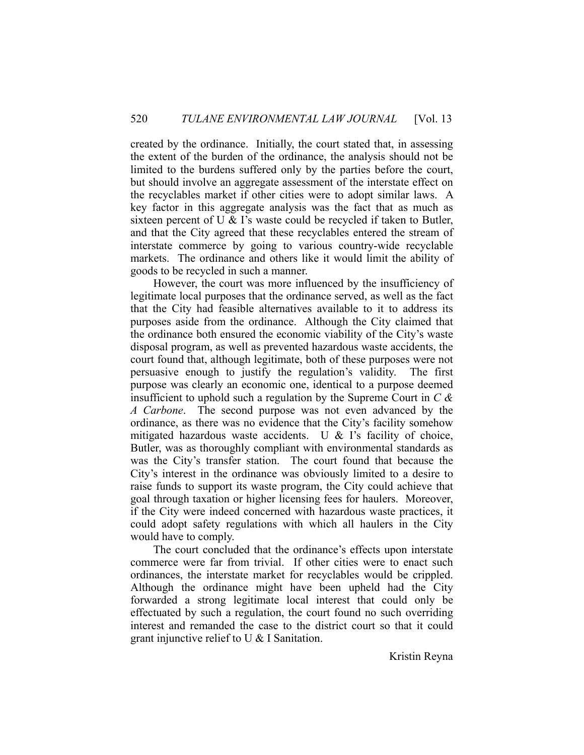created by the ordinance. Initially, the court stated that, in assessing the extent of the burden of the ordinance, the analysis should not be limited to the burdens suffered only by the parties before the court, but should involve an aggregate assessment of the interstate effect on the recyclables market if other cities were to adopt similar laws. A key factor in this aggregate analysis was the fact that as much as sixteen percent of U & I's waste could be recycled if taken to Butler, and that the City agreed that these recyclables entered the stream of interstate commerce by going to various country-wide recyclable markets. The ordinance and others like it would limit the ability of goods to be recycled in such a manner.

 However, the court was more influenced by the insufficiency of legitimate local purposes that the ordinance served, as well as the fact that the City had feasible alternatives available to it to address its purposes aside from the ordinance. Although the City claimed that the ordinance both ensured the economic viability of the City's waste disposal program, as well as prevented hazardous waste accidents, the court found that, although legitimate, both of these purposes were not persuasive enough to justify the regulation's validity. The first purpose was clearly an economic one, identical to a purpose deemed insufficient to uphold such a regulation by the Supreme Court in *C & A Carbone*. The second purpose was not even advanced by the ordinance, as there was no evidence that the City's facility somehow mitigated hazardous waste accidents. U & I's facility of choice, Butler, was as thoroughly compliant with environmental standards as was the City's transfer station. The court found that because the City's interest in the ordinance was obviously limited to a desire to raise funds to support its waste program, the City could achieve that goal through taxation or higher licensing fees for haulers. Moreover, if the City were indeed concerned with hazardous waste practices, it could adopt safety regulations with which all haulers in the City would have to comply.

 The court concluded that the ordinance's effects upon interstate commerce were far from trivial. If other cities were to enact such ordinances, the interstate market for recyclables would be crippled. Although the ordinance might have been upheld had the City forwarded a strong legitimate local interest that could only be effectuated by such a regulation, the court found no such overriding interest and remanded the case to the district court so that it could grant injunctive relief to U & I Sanitation.

Kristin Reyna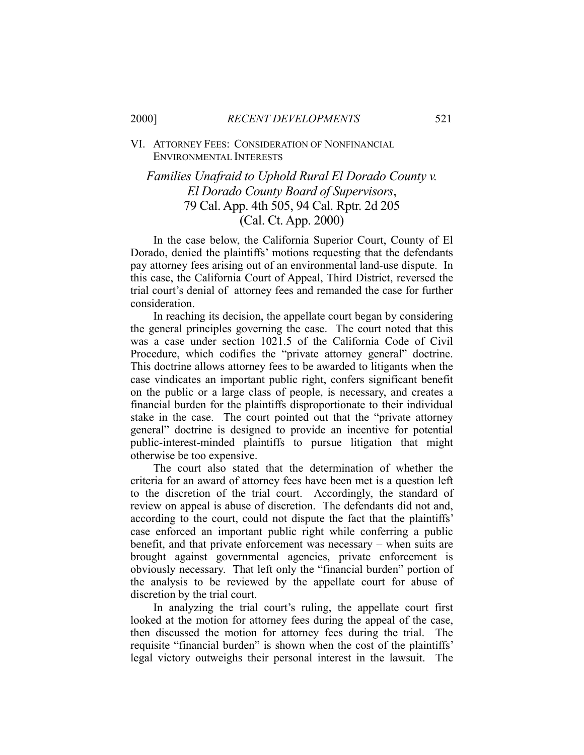#### VI. ATTORNEY FEES: CONSIDERATION OF NONFINANCIAL ENVIRONMENTAL INTERESTS

# *Families Unafraid to Uphold Rural El Dorado County v. El Dorado County Board of Supervisors*, 79 Cal. App. 4th 505, 94 Cal. Rptr. 2d 205 (Cal. Ct. App. 2000)

 In the case below, the California Superior Court, County of El Dorado, denied the plaintiffs' motions requesting that the defendants pay attorney fees arising out of an environmental land-use dispute. In this case, the California Court of Appeal, Third District, reversed the trial court's denial of attorney fees and remanded the case for further consideration.

 In reaching its decision, the appellate court began by considering the general principles governing the case. The court noted that this was a case under section 1021.5 of the California Code of Civil Procedure, which codifies the "private attorney general" doctrine. This doctrine allows attorney fees to be awarded to litigants when the case vindicates an important public right, confers significant benefit on the public or a large class of people, is necessary, and creates a financial burden for the plaintiffs disproportionate to their individual stake in the case. The court pointed out that the "private attorney general" doctrine is designed to provide an incentive for potential public-interest-minded plaintiffs to pursue litigation that might otherwise be too expensive.

 The court also stated that the determination of whether the criteria for an award of attorney fees have been met is a question left to the discretion of the trial court. Accordingly, the standard of review on appeal is abuse of discretion. The defendants did not and, according to the court, could not dispute the fact that the plaintiffs' case enforced an important public right while conferring a public benefit, and that private enforcement was necessary – when suits are brought against governmental agencies, private enforcement is obviously necessary. That left only the "financial burden" portion of the analysis to be reviewed by the appellate court for abuse of discretion by the trial court.

 In analyzing the trial court's ruling, the appellate court first looked at the motion for attorney fees during the appeal of the case, then discussed the motion for attorney fees during the trial. The requisite "financial burden" is shown when the cost of the plaintiffs' legal victory outweighs their personal interest in the lawsuit. The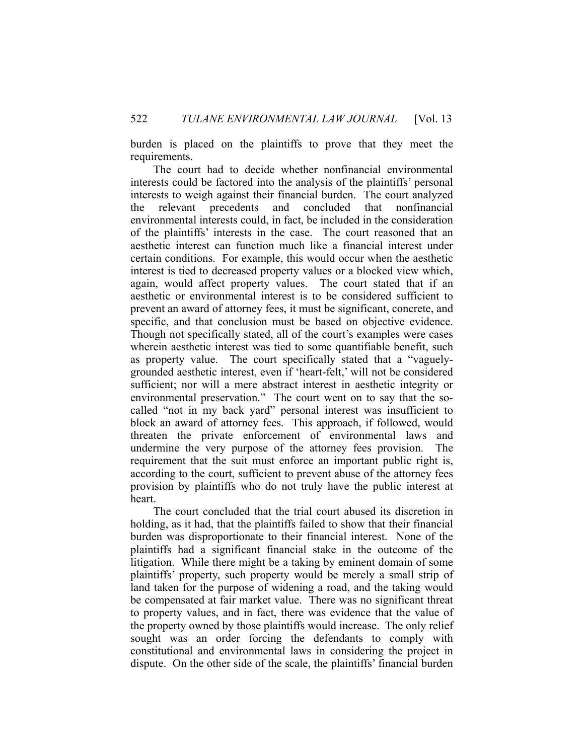burden is placed on the plaintiffs to prove that they meet the requirements.

 The court had to decide whether nonfinancial environmental interests could be factored into the analysis of the plaintiffs' personal interests to weigh against their financial burden. The court analyzed the relevant precedents and concluded that nonfinancial environmental interests could, in fact, be included in the consideration of the plaintiffs' interests in the case. The court reasoned that an aesthetic interest can function much like a financial interest under certain conditions. For example, this would occur when the aesthetic interest is tied to decreased property values or a blocked view which, again, would affect property values. The court stated that if an aesthetic or environmental interest is to be considered sufficient to prevent an award of attorney fees, it must be significant, concrete, and specific, and that conclusion must be based on objective evidence. Though not specifically stated, all of the court's examples were cases wherein aesthetic interest was tied to some quantifiable benefit, such as property value. The court specifically stated that a "vaguelygrounded aesthetic interest, even if 'heart-felt,' will not be considered sufficient; nor will a mere abstract interest in aesthetic integrity or environmental preservation." The court went on to say that the socalled "not in my back yard" personal interest was insufficient to block an award of attorney fees. This approach, if followed, would threaten the private enforcement of environmental laws and undermine the very purpose of the attorney fees provision. The requirement that the suit must enforce an important public right is, according to the court, sufficient to prevent abuse of the attorney fees provision by plaintiffs who do not truly have the public interest at heart.

 The court concluded that the trial court abused its discretion in holding, as it had, that the plaintiffs failed to show that their financial burden was disproportionate to their financial interest. None of the plaintiffs had a significant financial stake in the outcome of the litigation. While there might be a taking by eminent domain of some plaintiffs' property, such property would be merely a small strip of land taken for the purpose of widening a road, and the taking would be compensated at fair market value. There was no significant threat to property values, and in fact, there was evidence that the value of the property owned by those plaintiffs would increase. The only relief sought was an order forcing the defendants to comply with constitutional and environmental laws in considering the project in dispute. On the other side of the scale, the plaintiffs' financial burden